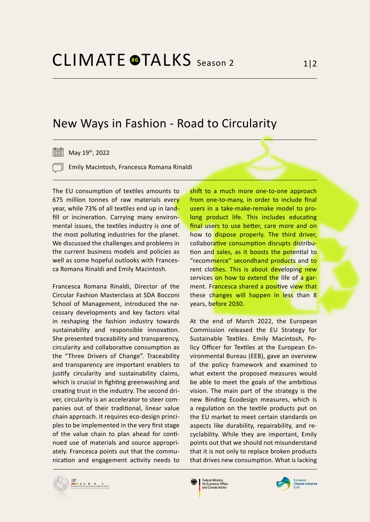## New Ways in Fashion - Road to Circularity

May 19th, 2022

- Emily Macintosh, Francesca Romana Rinaldi

The EU consumption of textiles amounts to 675 million tonnes of raw materials every year, while 73% of all textiles end up in landfill or incineration. Carrying many environmental issues, the textiles industry is one of the most polluting industries for the planet. We discussed the challenges and problems in the current business models and policies as well as some hopeful outlooks with Francesca Romana Rinaldi and Emily Macintosh.

Francesca Romana Rinaldi, Director of the Circular Fashion Masterclass at SDA Bocconi School of Management, introduced the necessary developments and key factors vital in reshaping the fashion industry towards sustainability and responsible innovation. She presented traceability and transparency, circularity and collaborative consumption as the "Three Drivers of Change". Traceability and transparency are important enablers to justify circularity and sustainability claims, which is crucial in fighting greenwashing and creating trust in the industry. The second driver, circularity is an accelerator to steer companies out of their traditional, linear value chain approach. It requires eco-design principles to be implemented in the very first stage of the value chain to plan ahead for continued use of materials and source appropriately. Francesca points out that the communication and engagement activity needs to

shift to a much more one-to-one approach from one-to-many, in order to include final users in a take-make-remake model to prolong product life. This includes educating final users to use better, care more and on how to dispose properly. The third driver, collaborative consumption disrupts distribution and sales, as it boosts the potential to "recommerce" secondhand products and to rent clothes. This is about developing new services on how to extend the life of a garment. Francesca shared a positive view that these changes will happen in less than 8 years, before 2030.

At the end of March 2022, the European Commission released the EU Strategy for Sustainable Textiles. Emily Macintosh, Policy Officer for Textiles at the European Environmental Bureau (EEB), gave an overview of the policy framework and examined to what extent the proposed measures would be able to meet the goals of the ambitious vision. The main part of the strategy is the new Binding Ecodesign measures, which is a regulation on the textile products put on the EU market to meet certain standards on aspects like durability, repairability, and recyclability. While they are important, Emily points out that we should not misunderstand that it is not only to replace broken products that drives new consumption. What is lacking